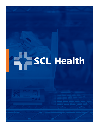# **SCL Health**

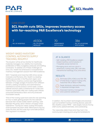



## CASE STUDY

**SCL Health cuts SKUs, improves inventory access with far-reaching PAR Excellence's technology** 

**NO. OF HOSPITALS NO. OF SCALES** 

**INSTALLED** 7 69,306 70 386

**DEPARTMENTS WITH SCALES**

**NO. OF LOCATIONS WITH SCALES**

#### WEIGHT-BASED INVENTORY CONTROL AUTOMATES SUPPLY TRACKING, RESUPPLY

The situation will be all too familiar for healthcare materials managers: low visibility into inventories, proliferation of SKUs, budgetary pressures and staffing constraints. To address all of these challenges at once, SCL Health has embraced a comprehensive inventory management solution from PAR Excellence.

With 7 hospitals and more than 200 clinics across Colorado and Montana, SCL Health is a leading healthcare provider in the Mountain region and Central Plains. Inventory control was fragmented between a hodge-podge of solutions from different vendors, adding complexity and administrative overhead to routine product control tasks. Locked cabinet solutions were cumbersome for nurses and inventory specialists alike; bar-coding open shelves consumed tremendous labor and only produced inconsistent results.

"One of the nursing supervisors said she was spending an hour a week getting people into the cabinets because their access codes weren't working," said Maureen McLarney, senior director of Supply Chain Operations. "During put-away, nursing and supply chain bumped into each other. We'd have to log out, close the door, let the nurse log in and take product, then log back in to restock."

## AT A GLANCE

- Self-installing PAR Excellence weightbased inventory control solution in 7 hospitals across Central U.S.
- Managing stock and non-stock in storerooms, nursing units, ORs, cath labs, interventional radiology, ICUs, and clinics.

# **RESULTS**

Eliminated 20% of SKUs and 10%-15% of total stock in typical nursing units, more than 15% of SKUs in ORs.

Fewer stockouts, reduced hoarding in dispersed storage areas.

Improved inventory management and customer satisfaction.

In addition, the incumbent technologies and practices – such as handheld inventory tracking devices used with SCL Health's Lawson MMIS – were largely manual, forcing shelf counts, eyeball estimates, and overstocking.

"Our associates determined what they had in the rooms by spot checking and using the handhelds for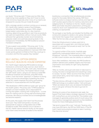



par levels." McLarney said. "If there was too little, they might bring more supplies so they don't have to come back tomorrow. Especially when many of our teams are strapped for sources this just made life easier."

With a storage vendor's contract coming up on renewal, SCL Health pilot-tested a series of technologies, including the PAR Excellence system. PAR's weightbased system automates day-to-day inventory tracking, determining quantities in real-time as products are used and replenished, without manual counts. PAR's software then generates reorder recommendations, prepares orders and optimizes stocking levels in the background. Immediately, the PAR Excellence solution impressed caregivers.

"It was a great nurse satisfier," McLarney said. "In the PAR areas, we experienced a considerable decline in stock outs while nursing satisfaction improved. With PAR nurses quickly gained confidence that they could go to a location and find the supplies they needed."

#### SELF-INSTALL OPTION SPEEDS ROLLOUT, BUILDS IN-HOUSE EXPERTISE

SCL Health began deploying PAR Excellence storage hardware to control both stock and non-stock items in areas such as nursing units, ORs, Cath Labs, interventional radiology, ICUs, and clinics. The hospital network chose the "self-install" option, using its own teams to install PAR Excellence hardware and software, using PAR initially under a "train the trainer" approach. In addition to saving money, this had the advantage of speeding the rollout across SCL Health hospitals and clinics and building extensive in-house expertise with the PAR system.

"We developed a PAR Excellence 'super user' group for the health system," McLarney said. "A PAR Excellence analyst is at each hospital, who is responsible for running the system, working with nursing floors – a core team for making sure it's running well and sharing best practices. We were so involved and so knowledgeable we became experts."

At this point, the supply chain team has the process down pat. They install wall panels or louvers as appropriate to support configurable rows of PAR Excellence scales. PAR software runs on servers in the SCL Health central network facility, so the supply chain team wires the banks of scales to the network

backbone, a connection that simultaneously provides power for the scales. Behind the scenes, PAR Vision software works to analyze inventory activity and help the staff visualize opportunities for inventory reductions and redeployments. An interface to the SCL Health Lawson MMIS automates requisition preparation, printing pick tickets for stock room replenishment or preparing POs for ordering, as appropriate.

"As we begin a new facility, we included the facilities and construction people to create a one-group discussion," said Garret Hall, Supply Chain operations manager. "After the first two sites, you get into a rhythm."

Once the infrastructure is in place, each bin is associated with a supply item, and initial par levels are set in a process that proved an early "win" for the optimization drive.

"In a good number of the rooms, hospitals were significantly oversupplied before we put in PAR Excellence," Hall said. "The immediate effect of going live on PAR in each location was the visibility on overstock."

Soon after installation, Hall noted, the PAR Excellence platform delivers both credible insights and improved organization and visibility for right-sizing dispersed inventories.

"After six months, we've got solid data to take back to nursing, the area is reorganized and everything is easy to access," he said. "When we show that they haven't used certain items, we've had nurses say, 'I've never seen that before.'"

"The less obvious, although no less important impact of PAR's technology is on patient safety.", Hall continued. "When we reduce stock outs, we reduce the likelihood that a care giver will leave the area to go look for supplies."

Working at a pace of two storerooms per week, the Supply Chain team takes a strategic approach to rollouts, with nursing floors up and running first. This enables nurse managers to generate positive word of mouth about the new inventory management approach as the installation moves into more challenging environments.

"We tend to leave OR to last," Hall said. "Nursing units may have 200 items, the OR has 3,000 items. If the OR hasn't heard some positive reviews or seen it working, they become nervous."